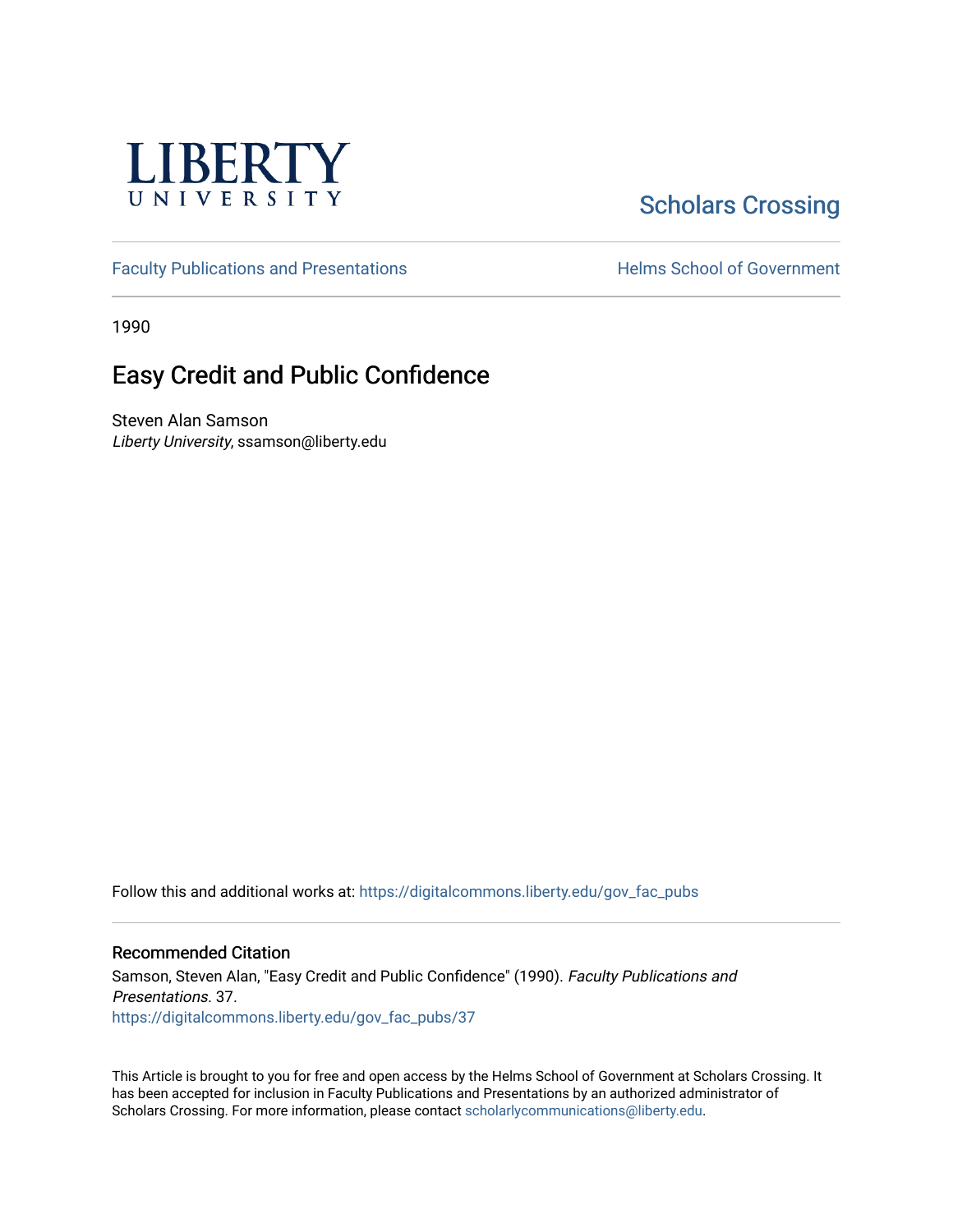

# **Scholars Crossing**

[Faculty Publications and Presentations](https://digitalcommons.liberty.edu/gov_fac_pubs) **Exercise School of Government** 

1990

## Easy Credit and Public Confidence

Steven Alan Samson Liberty University, ssamson@liberty.edu

Follow this and additional works at: [https://digitalcommons.liberty.edu/gov\\_fac\\_pubs](https://digitalcommons.liberty.edu/gov_fac_pubs?utm_source=digitalcommons.liberty.edu%2Fgov_fac_pubs%2F37&utm_medium=PDF&utm_campaign=PDFCoverPages)

#### Recommended Citation

Samson, Steven Alan, "Easy Credit and Public Confidence" (1990). Faculty Publications and Presentations. 37. [https://digitalcommons.liberty.edu/gov\\_fac\\_pubs/37](https://digitalcommons.liberty.edu/gov_fac_pubs/37?utm_source=digitalcommons.liberty.edu%2Fgov_fac_pubs%2F37&utm_medium=PDF&utm_campaign=PDFCoverPages) 

This Article is brought to you for free and open access by the Helms School of Government at Scholars Crossing. It has been accepted for inclusion in Faculty Publications and Presentations by an authorized administrator of Scholars Crossing. For more information, please contact [scholarlycommunications@liberty.edu.](mailto:scholarlycommunications@liberty.edu)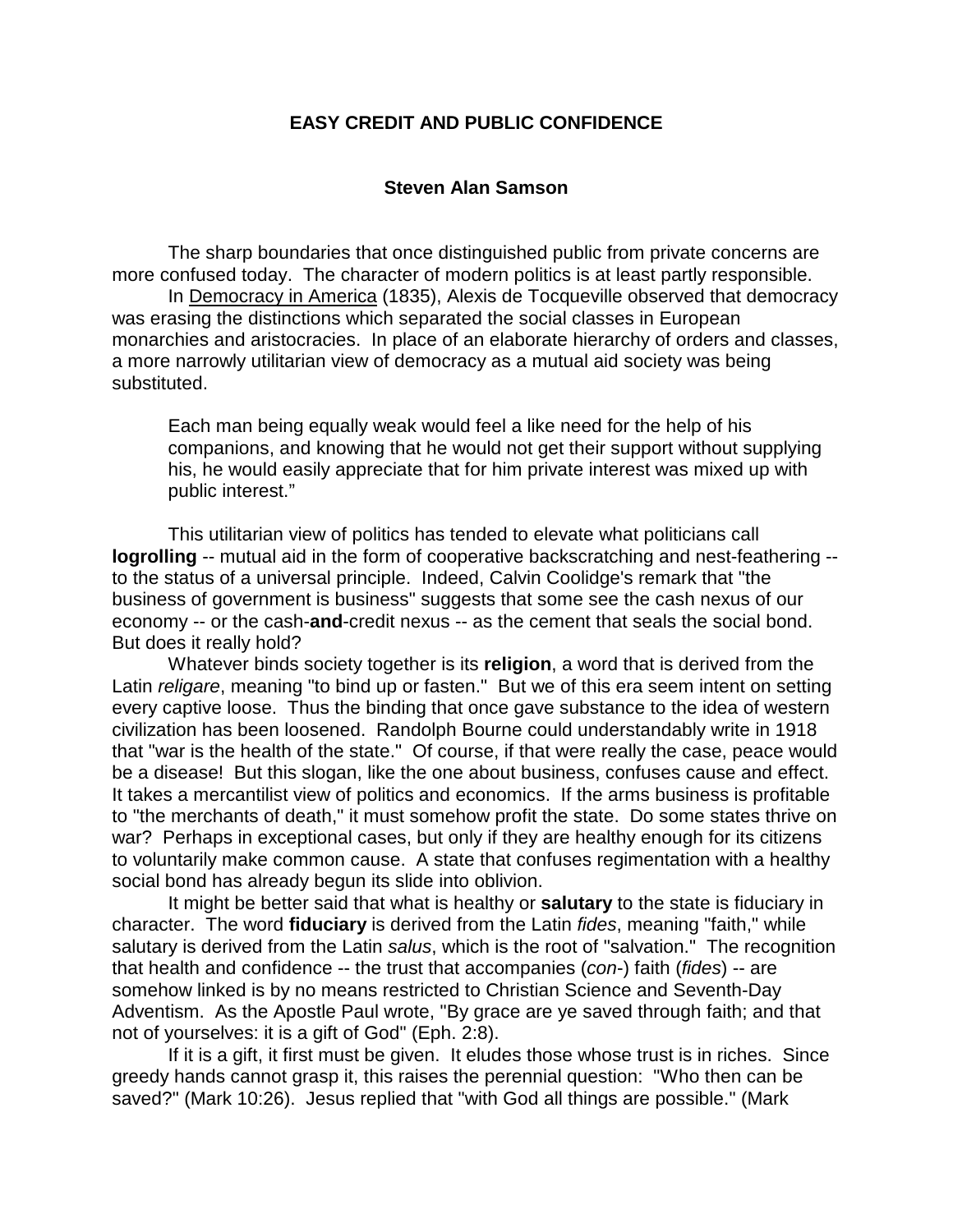## **EASY CREDIT AND PUBLIC CONFIDENCE**

### **Steven Alan Samson**

 The sharp boundaries that once distinguished public from private concerns are more confused today. The character of modern politics is at least partly responsible.

In Democracy in America (1835), Alexis de Tocqueville observed that democracy was erasing the distinctions which separated the social classes in European monarchies and aristocracies. In place of an elaborate hierarchy of orders and classes, a more narrowly utilitarian view of democracy as a mutual aid society was being substituted.

Each man being equally weak would feel a like need for the help of his companions, and knowing that he would not get their support without supplying his, he would easily appreciate that for him private interest was mixed up with public interest."

This utilitarian view of politics has tended to elevate what politicians call **logrolling** -- mutual aid in the form of cooperative backscratching and nest-feathering - to the status of a universal principle. Indeed, Calvin Coolidge's remark that "the business of government is business" suggests that some see the cash nexus of our economy -- or the cash-**and**-credit nexus -- as the cement that seals the social bond. But does it really hold?

Whatever binds society together is its **religion**, a word that is derived from the Latin *religare*, meaning "to bind up or fasten." But we of this era seem intent on setting every captive loose. Thus the binding that once gave substance to the idea of western civilization has been loosened. Randolph Bourne could understandably write in 1918 that "war is the health of the state." Of course, if that were really the case, peace would be a disease! But this slogan, like the one about business, confuses cause and effect. It takes a mercantilist view of politics and economics. If the arms business is profitable to "the merchants of death," it must somehow profit the state. Do some states thrive on war? Perhaps in exceptional cases, but only if they are healthy enough for its citizens to voluntarily make common cause. A state that confuses regimentation with a healthy social bond has already begun its slide into oblivion.

It might be better said that what is healthy or **salutary** to the state is fiduciary in character. The word **fiduciary** is derived from the Latin *fides*, meaning "faith," while salutary is derived from the Latin *salus*, which is the root of "salvation." The recognition that health and confidence -- the trust that accompanies (*con*-) faith (*fides*) -- are somehow linked is by no means restricted to Christian Science and Seventh-Day Adventism. As the Apostle Paul wrote, "By grace are ye saved through faith; and that not of yourselves: it is a gift of God" (Eph. 2:8).

 If it is a gift, it first must be given. It eludes those whose trust is in riches. Since greedy hands cannot grasp it, this raises the perennial question: "Who then can be saved?" (Mark 10:26). Jesus replied that "with God all things are possible." (Mark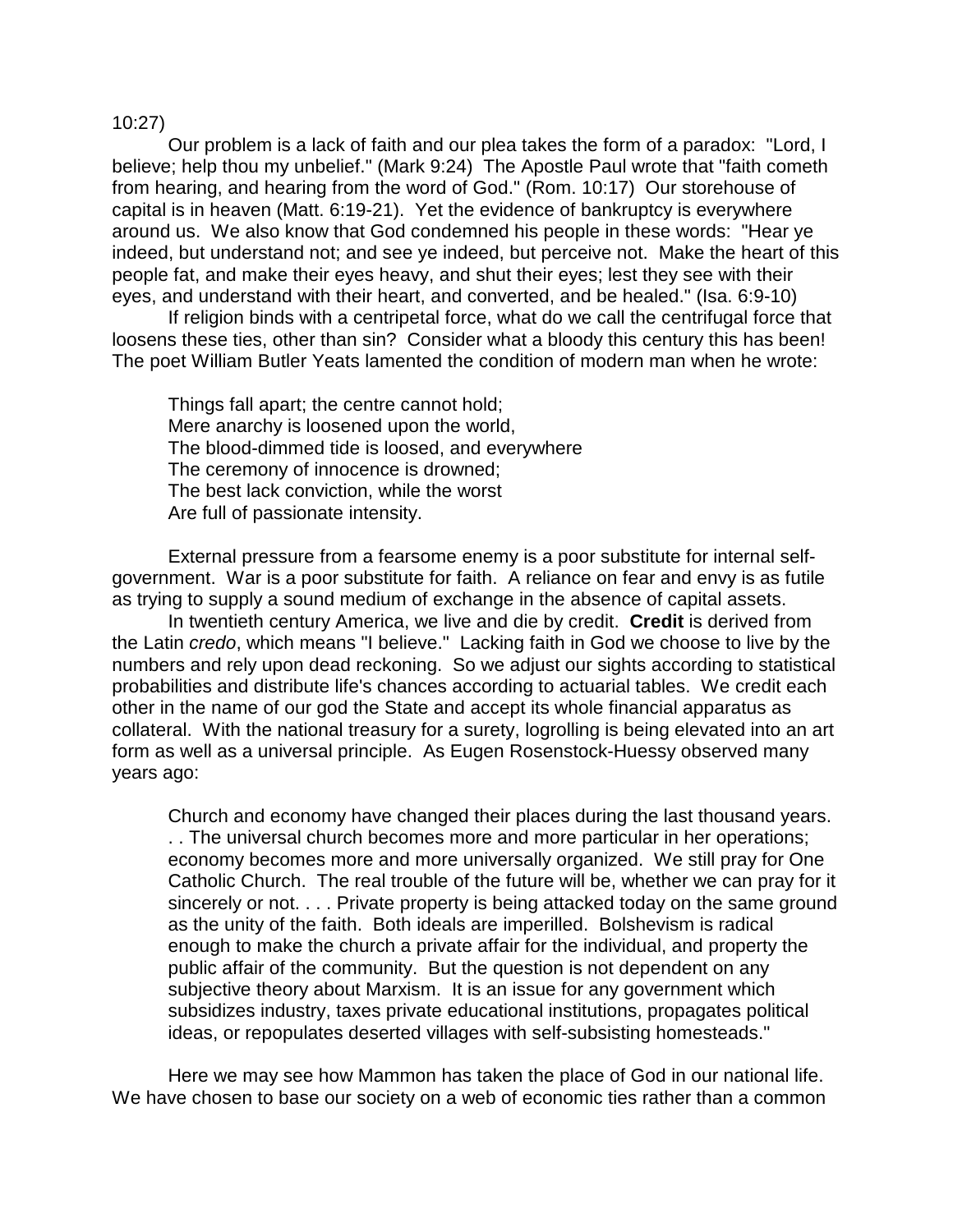## 10:27)

 Our problem is a lack of faith and our plea takes the form of a paradox: "Lord, I believe; help thou my unbelief." (Mark 9:24) The Apostle Paul wrote that "faith cometh from hearing, and hearing from the word of God." (Rom. 10:17) Our storehouse of capital is in heaven (Matt. 6:19-21). Yet the evidence of bankruptcy is everywhere around us. We also know that God condemned his people in these words: "Hear ye indeed, but understand not; and see ye indeed, but perceive not. Make the heart of this people fat, and make their eyes heavy, and shut their eyes; lest they see with their eyes, and understand with their heart, and converted, and be healed." (Isa. 6:9-10)

If religion binds with a centripetal force, what do we call the centrifugal force that loosens these ties, other than sin? Consider what a bloody this century this has been! The poet William Butler Yeats lamented the condition of modern man when he wrote:

Things fall apart; the centre cannot hold; Mere anarchy is loosened upon the world, The blood-dimmed tide is loosed, and everywhere The ceremony of innocence is drowned; The best lack conviction, while the worst Are full of passionate intensity.

External pressure from a fearsome enemy is a poor substitute for internal selfgovernment. War is a poor substitute for faith. A reliance on fear and envy is as futile as trying to supply a sound medium of exchange in the absence of capital assets.

 In twentieth century America, we live and die by credit. **Credit** is derived from the Latin *credo*, which means "I believe." Lacking faith in God we choose to live by the numbers and rely upon dead reckoning. So we adjust our sights according to statistical probabilities and distribute life's chances according to actuarial tables. We credit each other in the name of our god the State and accept its whole financial apparatus as collateral. With the national treasury for a surety, logrolling is being elevated into an art form as well as a universal principle. As Eugen Rosenstock-Huessy observed many years ago:

Church and economy have changed their places during the last thousand years. . . The universal church becomes more and more particular in her operations; economy becomes more and more universally organized. We still pray for One Catholic Church. The real trouble of the future will be, whether we can pray for it sincerely or not. . . . Private property is being attacked today on the same ground as the unity of the faith. Both ideals are imperilled. Bolshevism is radical enough to make the church a private affair for the individual, and property the public affair of the community. But the question is not dependent on any subjective theory about Marxism. It is an issue for any government which subsidizes industry, taxes private educational institutions, propagates political ideas, or repopulates deserted villages with self-subsisting homesteads."

Here we may see how Mammon has taken the place of God in our national life. We have chosen to base our society on a web of economic ties rather than a common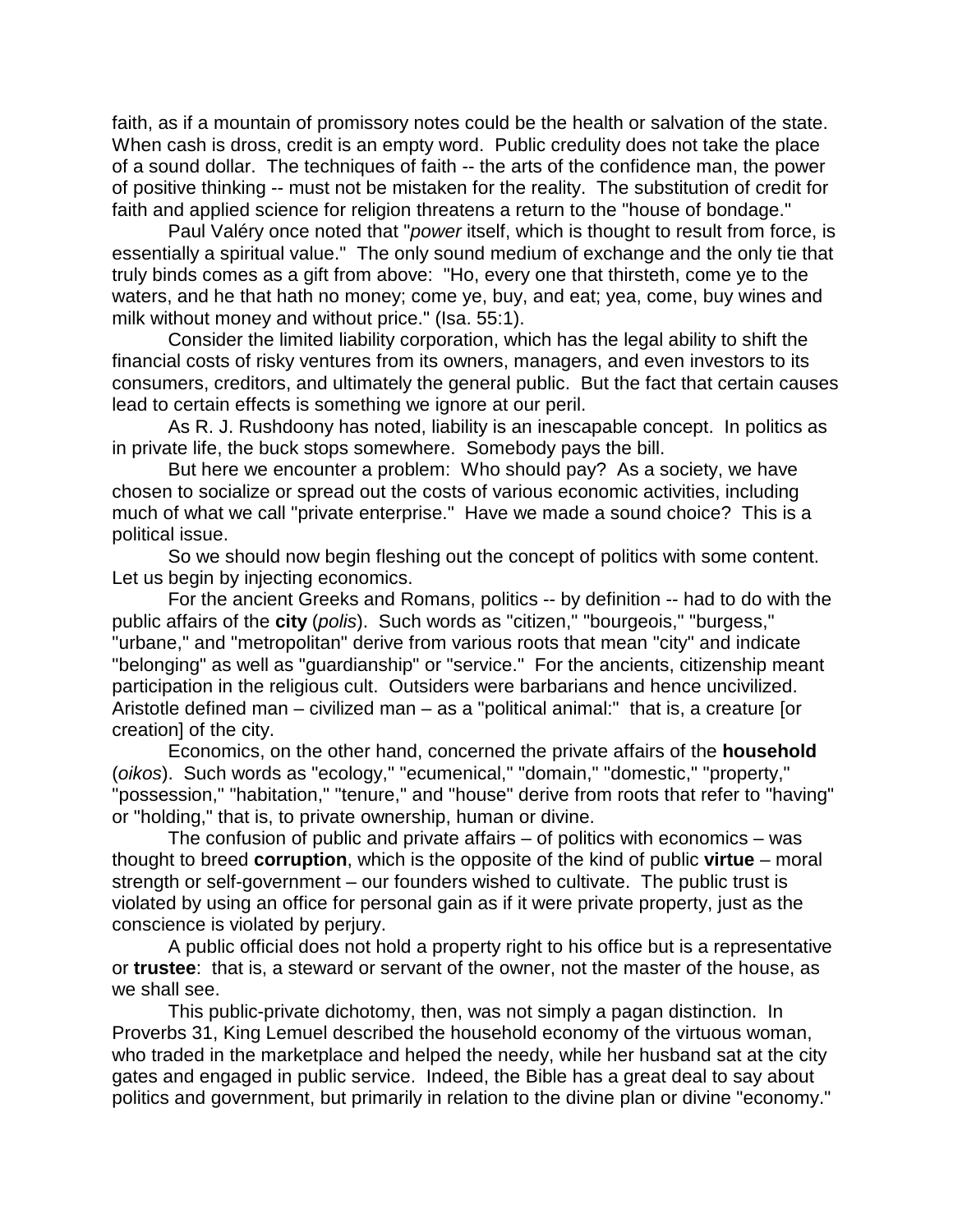faith, as if a mountain of promissory notes could be the health or salvation of the state. When cash is dross, credit is an empty word. Public credulity does not take the place of a sound dollar. The techniques of faith -- the arts of the confidence man, the power of positive thinking -- must not be mistaken for the reality. The substitution of credit for faith and applied science for religion threatens a return to the "house of bondage."

Paul Valéry once noted that "*power* itself, which is thought to result from force, is essentially a spiritual value." The only sound medium of exchange and the only tie that truly binds comes as a gift from above: "Ho, every one that thirsteth, come ye to the waters, and he that hath no money; come ye, buy, and eat; yea, come, buy wines and milk without money and without price." (Isa. 55:1).

 Consider the limited liability corporation, which has the legal ability to shift the financial costs of risky ventures from its owners, managers, and even investors to its consumers, creditors, and ultimately the general public. But the fact that certain causes lead to certain effects is something we ignore at our peril.

 As R. J. Rushdoony has noted, liability is an inescapable concept. In politics as in private life, the buck stops somewhere. Somebody pays the bill.

 But here we encounter a problem: Who should pay? As a society, we have chosen to socialize or spread out the costs of various economic activities, including much of what we call "private enterprise." Have we made a sound choice? This is a political issue.

 So we should now begin fleshing out the concept of politics with some content. Let us begin by injecting economics.

 For the ancient Greeks and Romans, politics -- by definition -- had to do with the public affairs of the **city** (*polis*). Such words as "citizen," "bourgeois," "burgess," "urbane," and "metropolitan" derive from various roots that mean "city" and indicate "belonging" as well as "guardianship" or "service." For the ancients, citizenship meant participation in the religious cult. Outsiders were barbarians and hence uncivilized. Aristotle defined man – civilized man – as a "political animal:" that is, a creature [or creation] of the city.

 Economics, on the other hand, concerned the private affairs of the **household** (*oikos*). Such words as "ecology," "ecumenical," "domain," "domestic," "property," "possession," "habitation," "tenure," and "house" derive from roots that refer to "having" or "holding," that is, to private ownership, human or divine.

 The confusion of public and private affairs – of politics with economics – was thought to breed **corruption**, which is the opposite of the kind of public **virtue** – moral strength or self-government – our founders wished to cultivate. The public trust is violated by using an office for personal gain as if it were private property, just as the conscience is violated by perjury.

 A public official does not hold a property right to his office but is a representative or **trustee**: that is, a steward or servant of the owner, not the master of the house, as we shall see.

 This public-private dichotomy, then, was not simply a pagan distinction. In Proverbs 31, King Lemuel described the household economy of the virtuous woman, who traded in the marketplace and helped the needy, while her husband sat at the city gates and engaged in public service. Indeed, the Bible has a great deal to say about politics and government, but primarily in relation to the divine plan or divine "economy."